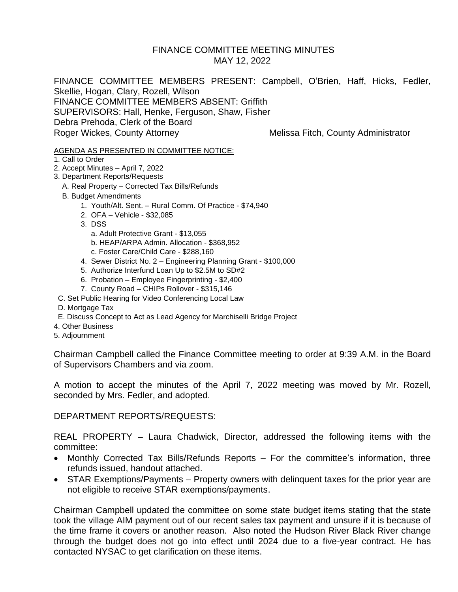### FINANCE COMMITTEE MEETING MINUTES MAY 12, 2022

FINANCE COMMITTEE MEMBERS PRESENT: Campbell, O'Brien, Haff, Hicks, Fedler, Skellie, Hogan, Clary, Rozell, Wilson FINANCE COMMITTEE MEMBERS ABSENT: Griffith SUPERVISORS: Hall, Henke, Ferguson, Shaw, Fisher Debra Prehoda, Clerk of the Board Roger Wickes, County Attorney Melissa Fitch, County Administrator

#### AGENDA AS PRESENTED IN COMMITTEE NOTICE:

- 1. Call to Order
- 2. Accept Minutes April 7, 2022
- 3. Department Reports/Requests
	- A. Real Property Corrected Tax Bills/Refunds
	- B. Budget Amendments
		- 1. Youth/Alt. Sent. Rural Comm. Of Practice \$74,940
		- 2. OFA Vehicle \$32,085
		- 3. DSS
			- a. Adult Protective Grant \$13,055
			- b. HEAP/ARPA Admin. Allocation \$368,952
			- c. Foster Care/Child Care \$288,160
		- 4. Sewer District No. 2 Engineering Planning Grant \$100,000
		- 5. Authorize Interfund Loan Up to \$2.5M to SD#2
		- 6. Probation Employee Fingerprinting \$2,400
		- 7. County Road CHIPs Rollover \$315,146
- C. Set Public Hearing for Video Conferencing Local Law
- D. Mortgage Tax
- E. Discuss Concept to Act as Lead Agency for Marchiselli Bridge Project
- 4. Other Business
- 5. Adjournment

Chairman Campbell called the Finance Committee meeting to order at 9:39 A.M. in the Board of Supervisors Chambers and via zoom.

A motion to accept the minutes of the April 7, 2022 meeting was moved by Mr. Rozell, seconded by Mrs. Fedler, and adopted.

### DEPARTMENT REPORTS/REQUESTS:

REAL PROPERTY – Laura Chadwick, Director, addressed the following items with the committee:

- Monthly Corrected Tax Bills/Refunds Reports For the committee's information, three refunds issued, handout attached.
- STAR Exemptions/Payments Property owners with delinguent taxes for the prior year are not eligible to receive STAR exemptions/payments.

Chairman Campbell updated the committee on some state budget items stating that the state took the village AIM payment out of our recent sales tax payment and unsure if it is because of the time frame it covers or another reason. Also noted the Hudson River Black River change through the budget does not go into effect until 2024 due to a five-year contract. He has contacted NYSAC to get clarification on these items.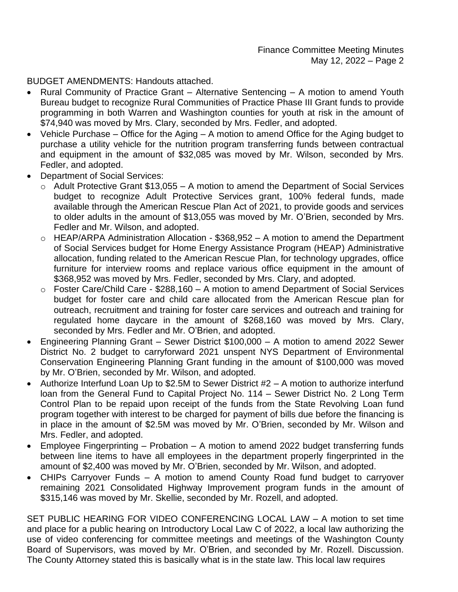BUDGET AMENDMENTS: Handouts attached.

- Rural Community of Practice Grant Alternative Sentencing A motion to amend Youth Bureau budget to recognize Rural Communities of Practice Phase III Grant funds to provide programming in both Warren and Washington counties for youth at risk in the amount of \$74,940 was moved by Mrs. Clary, seconded by Mrs. Fedler, and adopted.
- Vehicle Purchase Office for the Aging A motion to amend Office for the Aging budget to purchase a utility vehicle for the nutrition program transferring funds between contractual and equipment in the amount of \$32,085 was moved by Mr. Wilson, seconded by Mrs. Fedler, and adopted.
- Department of Social Services:
	- $\circ$  Adult Protective Grant \$13,055 A motion to amend the Department of Social Services budget to recognize Adult Protective Services grant, 100% federal funds, made available through the American Rescue Plan Act of 2021, to provide goods and services to older adults in the amount of \$13,055 was moved by Mr. O'Brien, seconded by Mrs. Fedler and Mr. Wilson, and adopted.
	- o HEAP/ARPA Administration Allocation \$368,952 A motion to amend the Department of Social Services budget for Home Energy Assistance Program (HEAP) Administrative allocation, funding related to the American Rescue Plan, for technology upgrades, office furniture for interview rooms and replace various office equipment in the amount of \$368,952 was moved by Mrs. Fedler, seconded by Mrs. Clary, and adopted.
	- $\circ$  Foster Care/Child Care \$288,160 A motion to amend Department of Social Services budget for foster care and child care allocated from the American Rescue plan for outreach, recruitment and training for foster care services and outreach and training for regulated home daycare in the amount of \$268,160 was moved by Mrs. Clary, seconded by Mrs. Fedler and Mr. O'Brien, and adopted.
- Engineering Planning Grant Sewer District \$100,000 A motion to amend 2022 Sewer District No. 2 budget to carryforward 2021 unspent NYS Department of Environmental Conservation Engineering Planning Grant funding in the amount of \$100,000 was moved by Mr. O'Brien, seconded by Mr. Wilson, and adopted.
- Authorize Interfund Loan Up to \$2.5M to Sewer District #2 A motion to authorize interfund loan from the General Fund to Capital Project No. 114 – Sewer District No. 2 Long Term Control Plan to be repaid upon receipt of the funds from the State Revolving Loan fund program together with interest to be charged for payment of bills due before the financing is in place in the amount of \$2.5M was moved by Mr. O'Brien, seconded by Mr. Wilson and Mrs. Fedler, and adopted.
- Employee Fingerprinting Probation A motion to amend 2022 budget transferring funds between line items to have all employees in the department properly fingerprinted in the amount of \$2,400 was moved by Mr. O'Brien, seconded by Mr. Wilson, and adopted.
- CHIPs Carryover Funds A motion to amend County Road fund budget to carryover remaining 2021 Consolidated Highway Improvement program funds in the amount of \$315,146 was moved by Mr. Skellie, seconded by Mr. Rozell, and adopted.

SET PUBLIC HEARING FOR VIDEO CONFERENCING LOCAL LAW – A motion to set time and place for a public hearing on Introductory Local Law C of 2022, a local law authorizing the use of video conferencing for committee meetings and meetings of the Washington County Board of Supervisors, was moved by Mr. O'Brien, and seconded by Mr. Rozell. Discussion. The County Attorney stated this is basically what is in the state law. This local law requires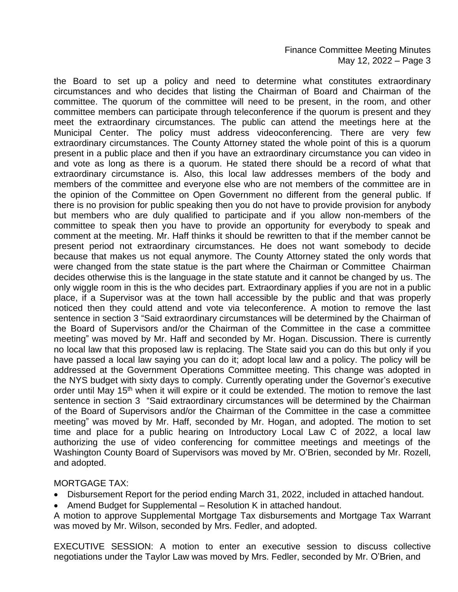the Board to set up a policy and need to determine what constitutes extraordinary circumstances and who decides that listing the Chairman of Board and Chairman of the committee. The quorum of the committee will need to be present, in the room, and other committee members can participate through teleconference if the quorum is present and they meet the extraordinary circumstances. The public can attend the meetings here at the Municipal Center. The policy must address videoconferencing. There are very few extraordinary circumstances. The County Attorney stated the whole point of this is a quorum present in a public place and then if you have an extraordinary circumstance you can video in and vote as long as there is a quorum. He stated there should be a record of what that extraordinary circumstance is. Also, this local law addresses members of the body and members of the committee and everyone else who are not members of the committee are in the opinion of the Committee on Open Government no different from the general public. If there is no provision for public speaking then you do not have to provide provision for anybody but members who are duly qualified to participate and if you allow non-members of the committee to speak then you have to provide an opportunity for everybody to speak and comment at the meeting. Mr. Haff thinks it should be rewritten to that if the member cannot be present period not extraordinary circumstances. He does not want somebody to decide because that makes us not equal anymore. The County Attorney stated the only words that were changed from the state statue is the part where the Chairman or Committee Chairman decides otherwise this is the language in the state statute and it cannot be changed by us. The only wiggle room in this is the who decides part. Extraordinary applies if you are not in a public place, if a Supervisor was at the town hall accessible by the public and that was properly noticed then they could attend and vote via teleconference. A motion to remove the last sentence in section 3 "Said extraordinary circumstances will be determined by the Chairman of the Board of Supervisors and/or the Chairman of the Committee in the case a committee meeting" was moved by Mr. Haff and seconded by Mr. Hogan. Discussion. There is currently no local law that this proposed law is replacing. The State said you can do this but only if you have passed a local law saying you can do it; adopt local law and a policy. The policy will be addressed at the Government Operations Committee meeting. This change was adopted in the NYS budget with sixty days to comply. Currently operating under the Governor's executive order until May 15<sup>th</sup> when it will expire or it could be extended. The motion to remove the last sentence in section 3 "Said extraordinary circumstances will be determined by the Chairman of the Board of Supervisors and/or the Chairman of the Committee in the case a committee meeting" was moved by Mr. Haff, seconded by Mr. Hogan, and adopted. The motion to set time and place for a public hearing on Introductory Local Law C of 2022, a local law authorizing the use of video conferencing for committee meetings and meetings of the Washington County Board of Supervisors was moved by Mr. O'Brien, seconded by Mr. Rozell, and adopted.

### MORTGAGE TAX:

- Disbursement Report for the period ending March 31, 2022, included in attached handout.
- Amend Budget for Supplemental Resolution K in attached handout.
- A motion to approve Supplemental Mortgage Tax disbursements and Mortgage Tax Warrant was moved by Mr. Wilson, seconded by Mrs. Fedler, and adopted.

EXECUTIVE SESSION: A motion to enter an executive session to discuss collective negotiations under the Taylor Law was moved by Mrs. Fedler, seconded by Mr. O'Brien, and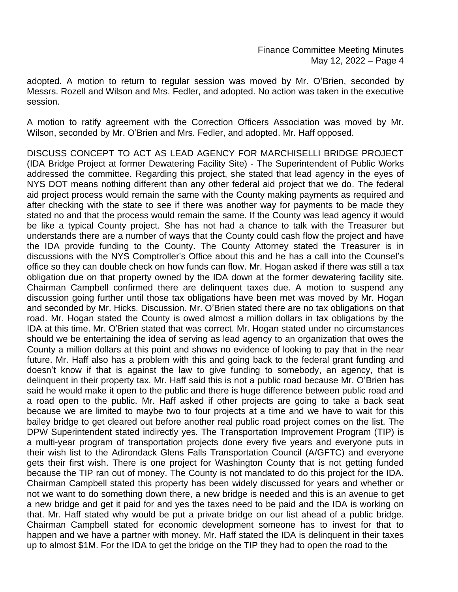adopted. A motion to return to regular session was moved by Mr. O'Brien, seconded by Messrs. Rozell and Wilson and Mrs. Fedler, and adopted. No action was taken in the executive session.

A motion to ratify agreement with the Correction Officers Association was moved by Mr. Wilson, seconded by Mr. O'Brien and Mrs. Fedler, and adopted. Mr. Haff opposed.

DISCUSS CONCEPT TO ACT AS LEAD AGENCY FOR MARCHISELLI BRIDGE PROJECT (IDA Bridge Project at former Dewatering Facility Site) - The Superintendent of Public Works addressed the committee. Regarding this project, she stated that lead agency in the eyes of NYS DOT means nothing different than any other federal aid project that we do. The federal aid project process would remain the same with the County making payments as required and after checking with the state to see if there was another way for payments to be made they stated no and that the process would remain the same. If the County was lead agency it would be like a typical County project. She has not had a chance to talk with the Treasurer but understands there are a number of ways that the County could cash flow the project and have the IDA provide funding to the County. The County Attorney stated the Treasurer is in discussions with the NYS Comptroller's Office about this and he has a call into the Counsel's office so they can double check on how funds can flow. Mr. Hogan asked if there was still a tax obligation due on that property owned by the IDA down at the former dewatering facility site. Chairman Campbell confirmed there are delinquent taxes due. A motion to suspend any discussion going further until those tax obligations have been met was moved by Mr. Hogan and seconded by Mr. Hicks. Discussion. Mr. O'Brien stated there are no tax obligations on that road. Mr. Hogan stated the County is owed almost a million dollars in tax obligations by the IDA at this time. Mr. O'Brien stated that was correct. Mr. Hogan stated under no circumstances should we be entertaining the idea of serving as lead agency to an organization that owes the County a million dollars at this point and shows no evidence of looking to pay that in the near future. Mr. Haff also has a problem with this and going back to the federal grant funding and doesn't know if that is against the law to give funding to somebody, an agency, that is delinquent in their property tax. Mr. Haff said this is not a public road because Mr. O'Brien has said he would make it open to the public and there is huge difference between public road and a road open to the public. Mr. Haff asked if other projects are going to take a back seat because we are limited to maybe two to four projects at a time and we have to wait for this bailey bridge to get cleared out before another real public road project comes on the list. The DPW Superintendent stated indirectly yes. The Transportation Improvement Program (TIP) is a multi-year program of transportation projects done every five years and everyone puts in their wish list to the Adirondack Glens Falls Transportation Council (A/GFTC) and everyone gets their first wish. There is one project for Washington County that is not getting funded because the TIP ran out of money. The County is not mandated to do this project for the IDA. Chairman Campbell stated this property has been widely discussed for years and whether or not we want to do something down there, a new bridge is needed and this is an avenue to get a new bridge and get it paid for and yes the taxes need to be paid and the IDA is working on that. Mr. Haff stated why would be put a private bridge on our list ahead of a public bridge. Chairman Campbell stated for economic development someone has to invest for that to happen and we have a partner with money. Mr. Haff stated the IDA is delinquent in their taxes up to almost \$1M. For the IDA to get the bridge on the TIP they had to open the road to the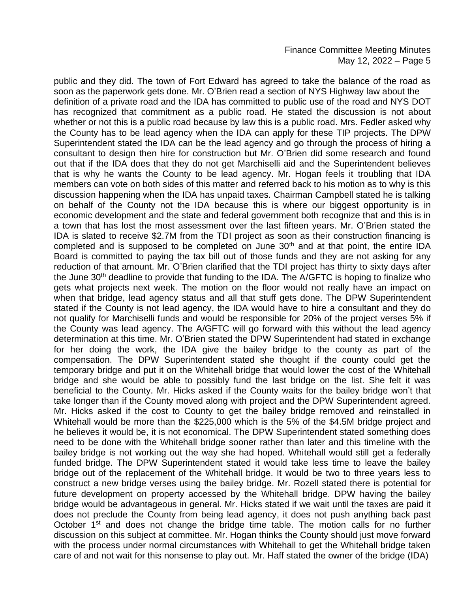public and they did. The town of Fort Edward has agreed to take the balance of the road as soon as the paperwork gets done. Mr. O'Brien read a section of NYS Highway law about the definition of a private road and the IDA has committed to public use of the road and NYS DOT has recognized that commitment as a public road. He stated the discussion is not about whether or not this is a public road because by law this is a public road. Mrs. Fedler asked why the County has to be lead agency when the IDA can apply for these TIP projects. The DPW Superintendent stated the IDA can be the lead agency and go through the process of hiring a consultant to design then hire for construction but Mr. O'Brien did some research and found out that if the IDA does that they do not get Marchiselli aid and the Superintendent believes that is why he wants the County to be lead agency. Mr. Hogan feels it troubling that IDA members can vote on both sides of this matter and referred back to his motion as to why is this discussion happening when the IDA has unpaid taxes. Chairman Campbell stated he is talking on behalf of the County not the IDA because this is where our biggest opportunity is in economic development and the state and federal government both recognize that and this is in a town that has lost the most assessment over the last fifteen years. Mr. O'Brien stated the IDA is slated to receive \$2.7M from the TDI project as soon as their construction financing is completed and is supposed to be completed on June 30<sup>th</sup> and at that point, the entire IDA Board is committed to paying the tax bill out of those funds and they are not asking for any reduction of that amount. Mr. O'Brien clarified that the TDI project has thirty to sixty days after the June 30<sup>th</sup> deadline to provide that funding to the IDA. The A/GFTC is hoping to finalize who gets what projects next week. The motion on the floor would not really have an impact on when that bridge, lead agency status and all that stuff gets done. The DPW Superintendent stated if the County is not lead agency, the IDA would have to hire a consultant and they do not qualify for Marchiselli funds and would be responsible for 20% of the project verses 5% if the County was lead agency. The A/GFTC will go forward with this without the lead agency determination at this time. Mr. O'Brien stated the DPW Superintendent had stated in exchange for her doing the work, the IDA give the bailey bridge to the county as part of the compensation. The DPW Superintendent stated she thought if the county could get the temporary bridge and put it on the Whitehall bridge that would lower the cost of the Whitehall bridge and she would be able to possibly fund the last bridge on the list. She felt it was beneficial to the County. Mr. Hicks asked if the County waits for the bailey bridge won't that take longer than if the County moved along with project and the DPW Superintendent agreed. Mr. Hicks asked if the cost to County to get the bailey bridge removed and reinstalled in Whitehall would be more than the \$225,000 which is the 5% of the \$4.5M bridge project and he believes it would be, it is not economical. The DPW Superintendent stated something does need to be done with the Whitehall bridge sooner rather than later and this timeline with the bailey bridge is not working out the way she had hoped. Whitehall would still get a federally funded bridge. The DPW Superintendent stated it would take less time to leave the bailey bridge out of the replacement of the Whitehall bridge. It would be two to three years less to construct a new bridge verses using the bailey bridge. Mr. Rozell stated there is potential for future development on property accessed by the Whitehall bridge. DPW having the bailey bridge would be advantageous in general. Mr. Hicks stated if we wait until the taxes are paid it does not preclude the County from being lead agency, it does not push anything back past October 1<sup>st</sup> and does not change the bridge time table. The motion calls for no further discussion on this subject at committee. Mr. Hogan thinks the County should just move forward with the process under normal circumstances with Whitehall to get the Whitehall bridge taken care of and not wait for this nonsense to play out. Mr. Haff stated the owner of the bridge (IDA)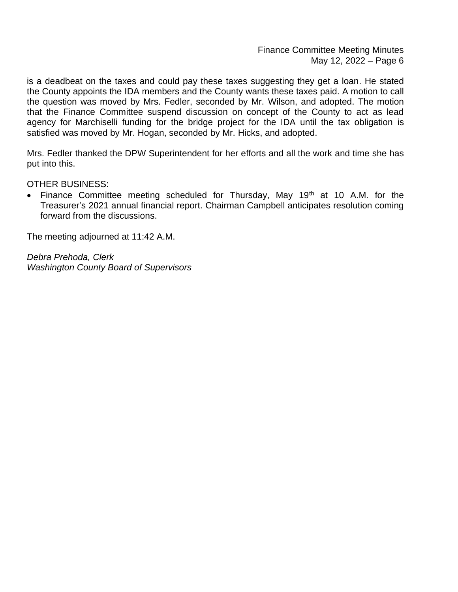Finance Committee Meeting Minutes May 12, 2022 – Page 6

is a deadbeat on the taxes and could pay these taxes suggesting they get a loan. He stated the County appoints the IDA members and the County wants these taxes paid. A motion to call the question was moved by Mrs. Fedler, seconded by Mr. Wilson, and adopted. The motion that the Finance Committee suspend discussion on concept of the County to act as lead agency for Marchiselli funding for the bridge project for the IDA until the tax obligation is satisfied was moved by Mr. Hogan, seconded by Mr. Hicks, and adopted.

Mrs. Fedler thanked the DPW Superintendent for her efforts and all the work and time she has put into this.

OTHER BUSINESS:

Finance Committee meeting scheduled for Thursday, May  $19<sup>th</sup>$  at 10 A.M. for the Treasurer's 2021 annual financial report. Chairman Campbell anticipates resolution coming forward from the discussions.

The meeting adjourned at 11:42 A.M.

*Debra Prehoda, Clerk Washington County Board of Supervisors*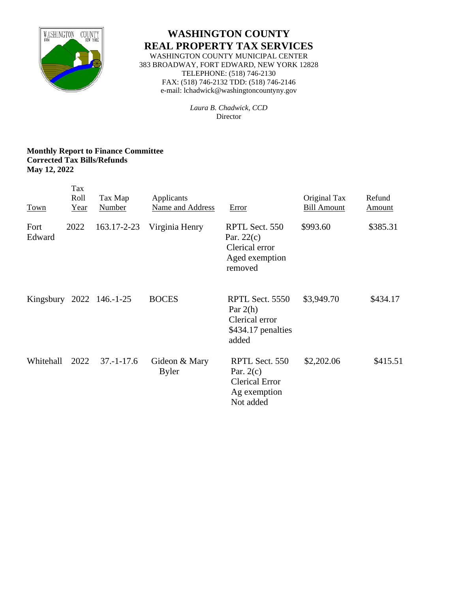

# **WASHINGTON COUNTY REAL PROPERTY TAX SERVICES**

WASHINGTON COUNTY MUNICIPAL CENTER 383 BROADWAY, FORT EDWARD, NEW YORK 12828 TELEPHONE: (518) 746-2130 FAX: (518) 746-2132 TDD: (518) 746-2146 e-mail: lchadwick@washingtoncountyny.gov

> *Laura B. Chadwick, CCD* Director

### **Monthly Report to Finance Committee Corrected Tax Bills/Refunds May 12, 2022**

| <b>Town</b>    | Tax<br>Roll<br>Year | Tax Map<br>Number        | Applicants<br>Name and Address | <b>Error</b>                                                                        | Original Tax<br><b>Bill Amount</b> | Refund<br><b>Amount</b> |
|----------------|---------------------|--------------------------|--------------------------------|-------------------------------------------------------------------------------------|------------------------------------|-------------------------|
| Fort<br>Edward | 2022                | 163.17-2-23              | Virginia Henry                 | RPTL Sect. 550<br>Par. $22(c)$<br>Clerical error<br>Aged exemption<br>removed       | \$993.60                           | \$385.31                |
|                |                     | Kingsbury 2022 146.-1-25 | <b>BOCES</b>                   | RPTL Sect. 5550<br>Par $2(h)$<br>Clerical error<br>\$434.17 penalties<br>added      | \$3,949.70                         | \$434.17                |
| Whitehall      | 2022                | $37 - 1 - 17.6$          | Gideon & Mary<br><b>Byler</b>  | RPTL Sect. 550<br>Par. $2(c)$<br><b>Clerical Error</b><br>Ag exemption<br>Not added | \$2,202.06                         | \$415.51                |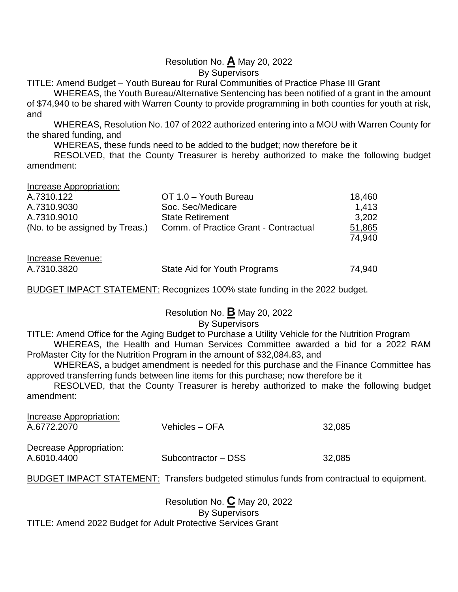# Resolution No. **A** May 20, 2022

By Supervisors

TITLE: Amend Budget – Youth Bureau for Rural Communities of Practice Phase III Grant

WHEREAS, the Youth Bureau/Alternative Sentencing has been notified of a grant in the amount of \$74,940 to be shared with Warren County to provide programming in both counties for youth at risk, and

WHEREAS, Resolution No. 107 of 2022 authorized entering into a MOU with Warren County for the shared funding, and

WHEREAS, these funds need to be added to the budget; now therefore be it

RESOLVED, that the County Treasurer is hereby authorized to make the following budget amendment:

Increase Appropriation:

| A.7310.122                     | OT 1.0 - Youth Bureau                 | 18,460 |
|--------------------------------|---------------------------------------|--------|
| A.7310.9030                    | Soc. Sec/Medicare                     | 1.413  |
| A.7310.9010                    | <b>State Retirement</b>               | 3,202  |
| (No. to be assigned by Treas.) | Comm. of Practice Grant - Contractual | 51,865 |
|                                |                                       | 74.940 |
|                                |                                       |        |

| Increase Revenue: |                              |        |
|-------------------|------------------------------|--------|
| A.7310.3820       | State Aid for Youth Programs | 74,940 |

BUDGET IMPACT STATEMENT: Recognizes 100% state funding in the 2022 budget.

Resolution No. **B** May 20, 2022 By Supervisors

# TITLE: Amend Office for the Aging Budget to Purchase a Utility Vehicle for the Nutrition Program

WHEREAS, the Health and Human Services Committee awarded a bid for a 2022 RAM ProMaster City for the Nutrition Program in the amount of \$32,084.83, and

WHEREAS, a budget amendment is needed for this purchase and the Finance Committee has approved transferring funds between line items for this purchase; now therefore be it

RESOLVED, that the County Treasurer is hereby authorized to make the following budget amendment:

| <b>Increase Appropriation:</b><br>A.6772.2070 | Vehicles – OFA                                                                            | 32,085 |
|-----------------------------------------------|-------------------------------------------------------------------------------------------|--------|
| Decrease Appropriation:<br>A.6010.4400        | Subcontractor - DSS                                                                       | 32,085 |
|                                               | BUDGET IMPACT STATEMENT: Transfers budgeted stimulus funds from contractual to equipment. |        |

Resolution No. **C** May 20, 2022 By Supervisors TITLE: Amend 2022 Budget for Adult Protective Services Grant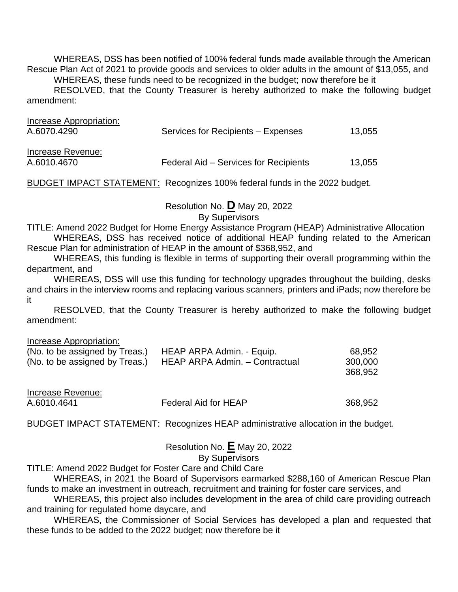WHEREAS, DSS has been notified of 100% federal funds made available through the American Rescue Plan Act of 2021 to provide goods and services to older adults in the amount of \$13,055, and WHEREAS, these funds need to be recognized in the budget; now therefore be it RESOLVED, that the County Treasurer is hereby authorized to make the following budget

amendment:

| Increase Appropriation:<br>A.6070.4290 | Services for Recipients - Expenses    | 13,055 |
|----------------------------------------|---------------------------------------|--------|
| Increase Revenue:<br>A.6010.4670       | Federal Aid – Services for Recipients | 13,055 |

BUDGET IMPACT STATEMENT: Recognizes 100% federal funds in the 2022 budget.

# Resolution No. **D** May 20, 2022

By Supervisors

TITLE: Amend 2022 Budget for Home Energy Assistance Program (HEAP) Administrative Allocation WHEREAS, DSS has received notice of additional HEAP funding related to the American

Rescue Plan for administration of HEAP in the amount of \$368,952, and

WHEREAS, this funding is flexible in terms of supporting their overall programming within the department, and

WHEREAS, DSS will use this funding for technology upgrades throughout the building, desks and chairs in the interview rooms and replacing various scanners, printers and iPads; now therefore be it

RESOLVED, that the County Treasurer is hereby authorized to make the following budget amendment:

Increase Appropriation:

| (No. to be assigned by Treas.) | HEAP ARPA Admin. - Equip.      | 68,952  |
|--------------------------------|--------------------------------|---------|
| (No. to be assigned by Treas.) | HEAP ARPA Admin. - Contractual | 300,000 |
|                                |                                | 368,952 |
| Increase Revenue:              |                                |         |
| A.6010.4641                    | <b>Federal Aid for HEAP</b>    | 368,952 |

BUDGET IMPACT STATEMENT: Recognizes HEAP administrative allocation in the budget.

Resolution No. **E** May 20, 2022 By Supervisors

TITLE: Amend 2022 Budget for Foster Care and Child Care

WHEREAS, in 2021 the Board of Supervisors earmarked \$288,160 of American Rescue Plan funds to make an investment in outreach, recruitment and training for foster care services, and

WHEREAS, this project also includes development in the area of child care providing outreach and training for regulated home daycare, and

WHEREAS, the Commissioner of Social Services has developed a plan and requested that these funds to be added to the 2022 budget; now therefore be it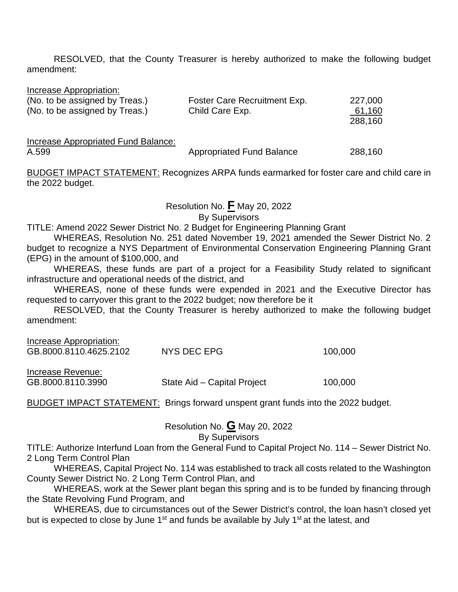RESOLVED, that the County Treasurer is hereby authorized to make the following budget amendment:

Increase Appropriation:

| (No. to be assigned by Treas.) | Foster Care Recruitment Exp. | 227,000        |
|--------------------------------|------------------------------|----------------|
| (No. to be assigned by Treas.) | Child Care Exp.              | <u>_61,160</u> |
|                                |                              | 288,160        |

Increase Appropriated Fund Balance:

A.599 **Appropriated Fund Balance** 288,160

BUDGET IMPACT STATEMENT: Recognizes ARPA funds earmarked for foster care and child care in the 2022 budget.

Resolution No. **F** May 20, 2022

By Supervisors

TITLE: Amend 2022 Sewer District No. 2 Budget for Engineering Planning Grant

WHEREAS, Resolution No. 251 dated November 19, 2021 amended the Sewer District No. 2 budget to recognize a NYS Department of Environmental Conservation Engineering Planning Grant (EPG) in the amount of \$100,000, and

WHEREAS, these funds are part of a project for a Feasibility Study related to significant infrastructure and operational needs of the district, and

WHEREAS, none of these funds were expended in 2021 and the Executive Director has requested to carryover this grant to the 2022 budget; now therefore be it

RESOLVED, that the County Treasurer is hereby authorized to make the following budget amendment:

| Increase Appropriation:<br>GB.8000.8110.4625.2102 | NYS DEC EPG                 | 100,000 |
|---------------------------------------------------|-----------------------------|---------|
| Increase Revenue:<br>GB.8000.8110.3990            | State Aid – Capital Project | 100,000 |

BUDGET IMPACT STATEMENT: Brings forward unspent grant funds into the 2022 budget.

Resolution No. **G** May 20, 2022

## By Supervisors

TITLE: Authorize Interfund Loan from the General Fund to Capital Project No. 114 – Sewer District No. 2 Long Term Control Plan

WHEREAS, Capital Project No. 114 was established to track all costs related to the Washington County Sewer District No. 2 Long Term Control Plan, and

WHEREAS, work at the Sewer plant began this spring and is to be funded by financing through the State Revolving Fund Program, and

WHEREAS, due to circumstances out of the Sewer District's control, the loan hasn't closed yet but is expected to close by June  $1<sup>st</sup>$  and funds be available by July  $1<sup>st</sup>$  at the latest, and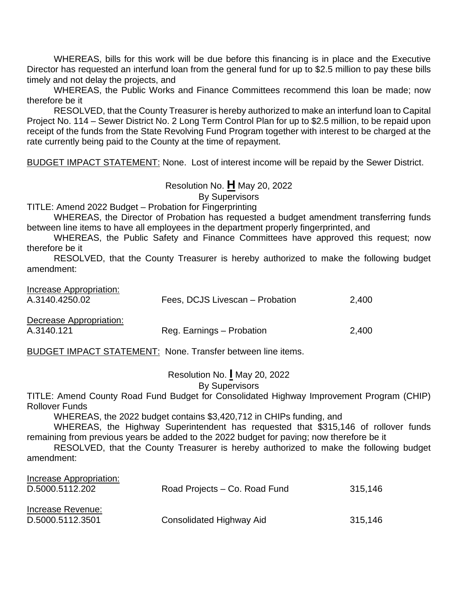WHEREAS, bills for this work will be due before this financing is in place and the Executive Director has requested an interfund loan from the general fund for up to \$2.5 million to pay these bills timely and not delay the projects, and

WHEREAS, the Public Works and Finance Committees recommend this loan be made; now therefore be it

RESOLVED, that the County Treasurer is hereby authorized to make an interfund loan to Capital Project No. 114 – Sewer District No. 2 Long Term Control Plan for up to \$2.5 million, to be repaid upon receipt of the funds from the State Revolving Fund Program together with interest to be charged at the rate currently being paid to the County at the time of repayment.

BUDGET IMPACT STATEMENT: None. Lost of interest income will be repaid by the Sewer District.

Resolution No. **H** May 20, 2022 By Supervisors

TITLE: Amend 2022 Budget – Probation for Fingerprinting

WHEREAS, the Director of Probation has requested a budget amendment transferring funds between line items to have all employees in the department properly fingerprinted, and

WHEREAS, the Public Safety and Finance Committees have approved this request; now therefore be it

RESOLVED, that the County Treasurer is hereby authorized to make the following budget amendment:

| Increase Appropriation: |                                 |       |
|-------------------------|---------------------------------|-------|
| A.3140.4250.02          | Fees, DCJS Livescan – Probation | 2.400 |
|                         |                                 |       |
| Decrease Appropriation: |                                 |       |
| ,                       | .                               |       |

A.3140.121 Reg. Earnings – Probation 2,400

BUDGET IMPACT STATEMENT: None. Transfer between line items.

Resolution No. **I** May 20, 2022

By Supervisors

TITLE: Amend County Road Fund Budget for Consolidated Highway Improvement Program (CHIP) Rollover Funds

WHEREAS, the 2022 budget contains \$3,420,712 in CHIPs funding, and

WHEREAS, the Highway Superintendent has requested that \$315,146 of rollover funds remaining from previous years be added to the 2022 budget for paving; now therefore be it

RESOLVED, that the County Treasurer is hereby authorized to make the following budget amendment:

| Increase Appropriation: |                                 |         |
|-------------------------|---------------------------------|---------|
| D.5000.5112.202         | Road Projects – Co. Road Fund   | 315,146 |
| Increase Revenue:       |                                 |         |
| D.5000.5112.3501        | <b>Consolidated Highway Aid</b> | 315.146 |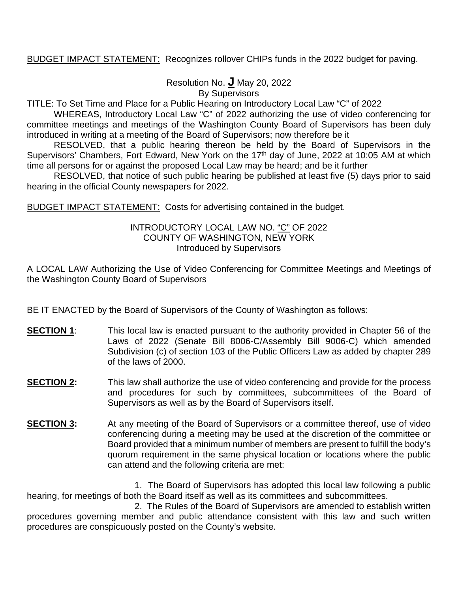# BUDGET IMPACT STATEMENT: Recognizes rollover CHIPs funds in the 2022 budget for paving.

Resolution No. **J** May 20, 2022

By Supervisors

TITLE: To Set Time and Place for a Public Hearing on Introductory Local Law "C" of 2022

WHEREAS, Introductory Local Law "C" of 2022 authorizing the use of video conferencing for committee meetings and meetings of the Washington County Board of Supervisors has been duly introduced in writing at a meeting of the Board of Supervisors; now therefore be it

RESOLVED, that a public hearing thereon be held by the Board of Supervisors in the Supervisors' Chambers, Fort Edward, New York on the 17<sup>th</sup> day of June, 2022 at 10:05 AM at which time all persons for or against the proposed Local Law may be heard; and be it further

RESOLVED, that notice of such public hearing be published at least five (5) days prior to said hearing in the official County newspapers for 2022.

BUDGET IMPACT STATEMENT: Costs for advertising contained in the budget.

### INTRODUCTORY LOCAL LAW NO. "C" OF 2022 COUNTY OF WASHINGTON, NEW YORK Introduced by Supervisors

A LOCAL LAW Authorizing the Use of Video Conferencing for Committee Meetings and Meetings of the Washington County Board of Supervisors

BE IT ENACTED by the Board of Supervisors of the County of Washington as follows:

- **SECTION 1:** This local law is enacted pursuant to the authority provided in Chapter 56 of the Laws of 2022 (Senate Bill 8006-C/Assembly Bill 9006-C) which amended Subdivision (c) of section 103 of the Public Officers Law as added by chapter 289 of the laws of 2000.
- **SECTION 2:** This law shall authorize the use of video conferencing and provide for the process and procedures for such by committees, subcommittees of the Board of Supervisors as well as by the Board of Supervisors itself.
- **SECTION 3:** At any meeting of the Board of Supervisors or a committee thereof, use of video conferencing during a meeting may be used at the discretion of the committee or Board provided that a minimum number of members are present to fulfill the body's quorum requirement in the same physical location or locations where the public can attend and the following criteria are met:

1. The Board of Supervisors has adopted this local law following a public hearing, for meetings of both the Board itself as well as its committees and subcommittees.

2. The Rules of the Board of Supervisors are amended to establish written procedures governing member and public attendance consistent with this law and such written procedures are conspicuously posted on the County's website.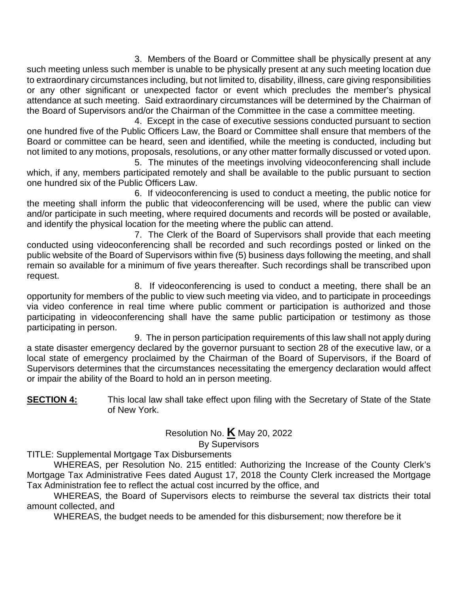3. Members of the Board or Committee shall be physically present at any such meeting unless such member is unable to be physically present at any such meeting location due to extraordinary circumstances including, but not limited to, disability, illness, care giving responsibilities or any other significant or unexpected factor or event which precludes the member's physical attendance at such meeting. Said extraordinary circumstances will be determined by the Chairman of the Board of Supervisors and/or the Chairman of the Committee in the case a committee meeting.

4. Except in the case of executive sessions conducted pursuant to section one hundred five of the Public Officers Law, the Board or Committee shall ensure that members of the Board or committee can be heard, seen and identified, while the meeting is conducted, including but not limited to any motions, proposals, resolutions, or any other matter formally discussed or voted upon.

5. The minutes of the meetings involving videoconferencing shall include which, if any, members participated remotely and shall be available to the public pursuant to section one hundred six of the Public Officers Law.

6. If videoconferencing is used to conduct a meeting, the public notice for the meeting shall inform the public that videoconferencing will be used, where the public can view and/or participate in such meeting, where required documents and records will be posted or available, and identify the physical location for the meeting where the public can attend.

7. The Clerk of the Board of Supervisors shall provide that each meeting conducted using videoconferencing shall be recorded and such recordings posted or linked on the public website of the Board of Supervisors within five (5) business days following the meeting, and shall remain so available for a minimum of five years thereafter. Such recordings shall be transcribed upon request.

8. If videoconferencing is used to conduct a meeting, there shall be an opportunity for members of the public to view such meeting via video, and to participate in proceedings via video conference in real time where public comment or participation is authorized and those participating in videoconferencing shall have the same public participation or testimony as those participating in person.

9. The in person participation requirements of this law shall not apply during a state disaster emergency declared by the governor pursuant to section 28 of the executive law, or a local state of emergency proclaimed by the Chairman of the Board of Supervisors, if the Board of Supervisors determines that the circumstances necessitating the emergency declaration would affect or impair the ability of the Board to hold an in person meeting.

**SECTION 4:** This local law shall take effect upon filing with the Secretary of State of the State of New York.

Resolution No. **K** May 20, 2022

By Supervisors

TITLE: Supplemental Mortgage Tax Disbursements

WHEREAS, per Resolution No. 215 entitled: Authorizing the Increase of the County Clerk's Mortgage Tax Administrative Fees dated August 17, 2018 the County Clerk increased the Mortgage Tax Administration fee to reflect the actual cost incurred by the office, and

WHEREAS, the Board of Supervisors elects to reimburse the several tax districts their total amount collected, and

WHEREAS, the budget needs to be amended for this disbursement; now therefore be it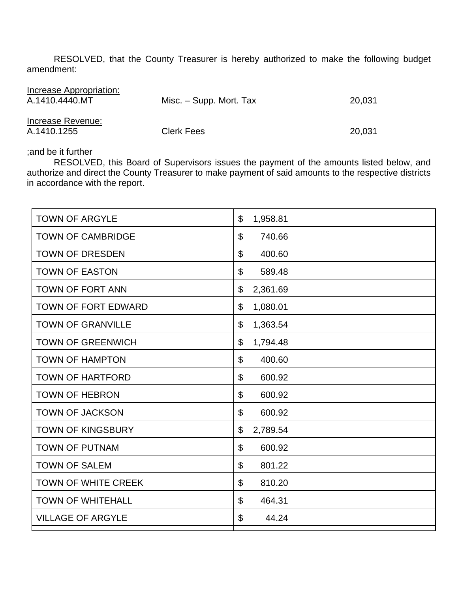RESOLVED, that the County Treasurer is hereby authorized to make the following budget amendment:

| Increase Appropriation:<br>A.1410.4440.MT | Misc. – Supp. Mort. Tax | 20,031 |
|-------------------------------------------|-------------------------|--------|
| Increase Revenue:<br>A.1410.1255          | <b>Clerk Fees</b>       | 20,031 |

;and be it further

RESOLVED, this Board of Supervisors issues the payment of the amounts listed below, and authorize and direct the County Treasurer to make payment of said amounts to the respective districts in accordance with the report.

| <b>TOWN OF ARGYLE</b>      | $\mathfrak{S}$<br>1,958.81      |
|----------------------------|---------------------------------|
| <b>TOWN OF CAMBRIDGE</b>   | \$<br>740.66                    |
| <b>TOWN OF DRESDEN</b>     | \$<br>400.60                    |
| <b>TOWN OF EASTON</b>      | \$<br>589.48                    |
| <b>TOWN OF FORT ANN</b>    | 2,361.69<br>\$                  |
| <b>TOWN OF FORT EDWARD</b> | \$<br>1,080.01                  |
| <b>TOWN OF GRANVILLE</b>   | \$<br>1,363.54                  |
| <b>TOWN OF GREENWICH</b>   | $\mathcal{L}$<br>1,794.48       |
| <b>TOWN OF HAMPTON</b>     | \$<br>400.60                    |
| <b>TOWN OF HARTFORD</b>    | \$<br>600.92                    |
| <b>TOWN OF HEBRON</b>      | \$<br>600.92                    |
| <b>TOWN OF JACKSON</b>     | \$<br>600.92                    |
| <b>TOWN OF KINGSBURY</b>   | \$<br>2,789.54                  |
| <b>TOWN OF PUTNAM</b>      | \$<br>600.92                    |
| <b>TOWN OF SALEM</b>       | $\boldsymbol{\theta}$<br>801.22 |
| <b>TOWN OF WHITE CREEK</b> | \$<br>810.20                    |
| <b>TOWN OF WHITEHALL</b>   | \$<br>464.31                    |
| <b>VILLAGE OF ARGYLE</b>   | \$<br>44.24                     |
|                            |                                 |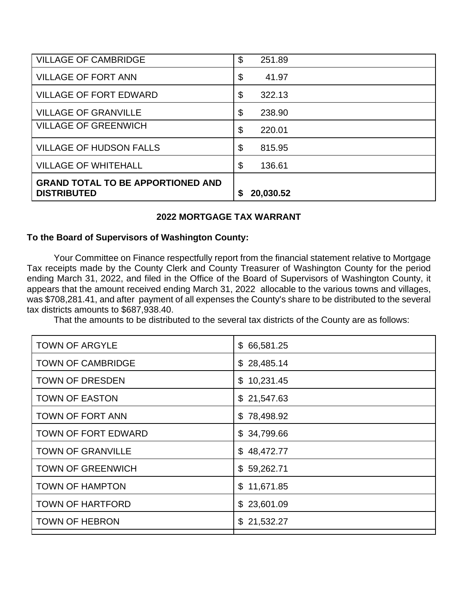| <b>VILLAGE OF CAMBRIDGE</b>                                    | \$<br>251.89   |
|----------------------------------------------------------------|----------------|
| <b>VILLAGE OF FORT ANN</b>                                     | \$<br>41.97    |
| <b>VILLAGE OF FORT EDWARD</b>                                  | \$<br>322.13   |
| <b>VILLAGE OF GRANVILLE</b>                                    | \$<br>238.90   |
| <b>VILLAGE OF GREENWICH</b>                                    | \$<br>220.01   |
| <b>VILLAGE OF HUDSON FALLS</b>                                 | \$<br>815.95   |
| <b>VILLAGE OF WHITEHALL</b>                                    | \$<br>136.61   |
| <b>GRAND TOTAL TO BE APPORTIONED AND</b><br><b>DISTRIBUTED</b> | 20,030.52<br>S |

# **2022 MORTGAGE TAX WARRANT**

# **To the Board of Supervisors of Washington County:**

Your Committee on Finance respectfully report from the financial statement relative to Mortgage Tax receipts made by the County Clerk and County Treasurer of Washington County for the period ending March 31, 2022, and filed in the Office of the Board of Supervisors of Washington County, it appears that the amount received ending March 31, 2022 allocable to the various towns and villages, was \$708,281.41, and after payment of all expenses the County's share to be distributed to the several tax districts amounts to \$687,938.40.

That the amounts to be distributed to the several tax districts of the County are as follows:

| <b>TOWN OF ARGYLE</b>      | \$66,581.25 |
|----------------------------|-------------|
| <b>TOWN OF CAMBRIDGE</b>   | \$28,485.14 |
| <b>TOWN OF DRESDEN</b>     | \$10,231.45 |
| <b>TOWN OF EASTON</b>      | \$21,547.63 |
| <b>TOWN OF FORT ANN</b>    | \$78,498.92 |
| <b>TOWN OF FORT EDWARD</b> | \$34,799.66 |
| <b>TOWN OF GRANVILLE</b>   | \$48,472.77 |
| <b>TOWN OF GREENWICH</b>   | \$59,262.71 |
| <b>TOWN OF HAMPTON</b>     | \$11,671.85 |
| <b>TOWN OF HARTFORD</b>    | \$23,601.09 |
| <b>TOWN OF HEBRON</b>      | \$21,532.27 |
|                            |             |